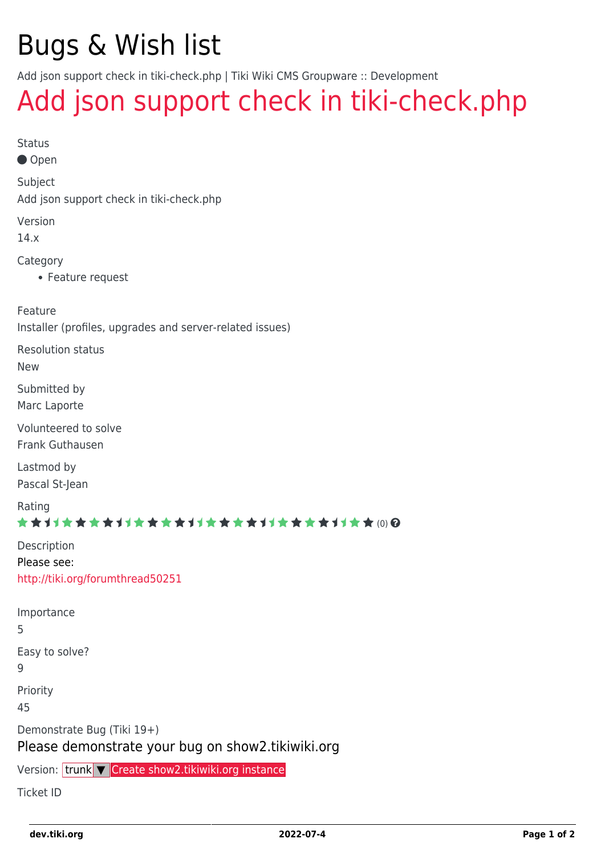# Bugs & Wish list

Add json support check in tiki-check.php | Tiki Wiki CMS Groupware :: Development

## [Add json support check in tiki-check.php](https://dev.tiki.org/item4959-Add-json-support-check-in-tiki-check-php)

| e e |
|-----|
|     |
|     |
|     |
|     |

● Open

Subject

Add json support check in tiki-check.php

Version

14.x

Category

Feature request

Feature

Installer (profiles, upgrades and server-related issues)

Resolution status

New

Submitted by Marc Laporte

Volunteered to solve Frank Guthausen

Lastmod by Pascal St-Jean

Rating

#### \*\*\*\*\*\*\*\*\*\*\*\*\*\*\*\*\*\*\*\*\*\*\*\*\*\*\*\*\*\*\*

| Description                      |
|----------------------------------|
| Please see:                      |
| http://tiki.org/forumthread50251 |

| Importance<br>5                                                                   |
|-----------------------------------------------------------------------------------|
| Easy to solve?<br>q                                                               |
| Priority<br>45                                                                    |
| Demonstrate Bug (Tiki 19+)<br>Please demonstrate your bug on show 2. tikiwiki.org |
| Version: trunk <b>V</b> Create show2.tikiwiki.org instance                        |

Ticket ID